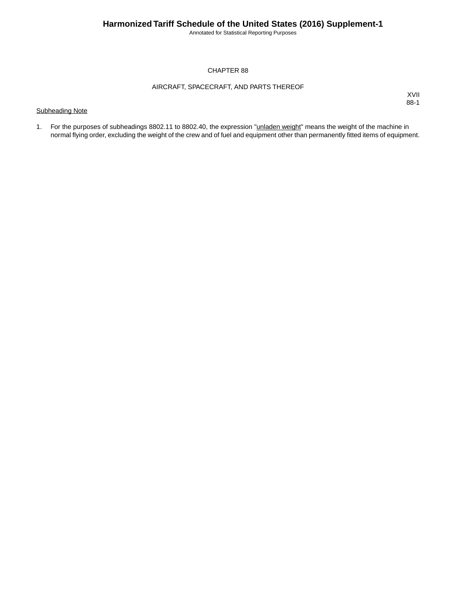Annotated for Statistical Reporting Purposes

### CHAPTER 88

### AIRCRAFT, SPACECRAFT, AND PARTS THEREOF

### Subheading Note

XVII 88-1

1. For the purposes of subheadings 8802.11 to 8802.40, the expression "**unladen weight**" means the weight of the machine in normal flying order, excluding the weight of the crew and of fuel and equipment other than permanently fitted items of equipment.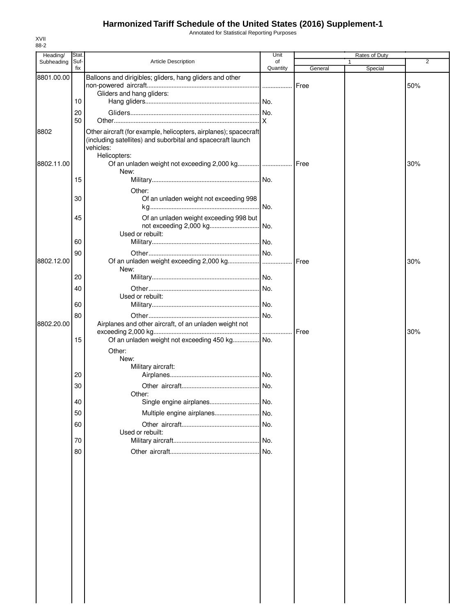## **Harmonized Tariff Schedule of the United States (2016) Supplement-1**

Annotated for Statistical Reporting Purposes

| Heading/   | Stat.       |                                                                                                                                                              | Unit           |         |              | Rates of Duty |                |
|------------|-------------|--------------------------------------------------------------------------------------------------------------------------------------------------------------|----------------|---------|--------------|---------------|----------------|
| Subheading | Suf-<br>fix | Article Description                                                                                                                                          | of<br>Quantity | General | $\mathbf{1}$ | Special       | $\overline{2}$ |
| 8801.00.00 |             | Balloons and dirigibles; gliders, hang gliders and other                                                                                                     |                |         |              |               |                |
|            |             |                                                                                                                                                              |                | Free    |              |               | 50%            |
|            |             | Gliders and hang gliders:                                                                                                                                    |                |         |              |               |                |
|            | 10          |                                                                                                                                                              |                |         |              |               |                |
|            | 20          |                                                                                                                                                              |                |         |              |               |                |
|            | 50          |                                                                                                                                                              |                |         |              |               |                |
| 8802       |             | Other aircraft (for example, helicopters, airplanes); spacecraft<br>(including satellites) and suborbital and spacecraft launch<br>vehicles:<br>Helicopters: |                |         |              |               |                |
| 8802.11.00 |             | Of an unladen weight not exceeding 2,000 kg     Free<br>New:                                                                                                 |                |         |              |               | 30%            |
|            | 15          |                                                                                                                                                              |                |         |              |               |                |
|            |             | Other:                                                                                                                                                       |                |         |              |               |                |
|            | 30          | Of an unladen weight not exceeding 998                                                                                                                       |                |         |              |               |                |
|            |             |                                                                                                                                                              |                |         |              |               |                |
|            | 45          | Of an unladen weight exceeding 998 but                                                                                                                       |                |         |              |               |                |
|            |             |                                                                                                                                                              |                |         |              |               |                |
|            | 60          | Used or rebuilt:                                                                                                                                             |                |         |              |               |                |
|            |             |                                                                                                                                                              |                |         |              |               |                |
|            | 90          |                                                                                                                                                              |                |         |              |               |                |
| 8802.12.00 |             | New:                                                                                                                                                         |                |         |              |               | 30%            |
|            | 20          |                                                                                                                                                              |                |         |              |               |                |
|            | 40          |                                                                                                                                                              |                |         |              |               |                |
|            |             | Used or rebuilt:                                                                                                                                             |                |         |              |               |                |
|            | 60          |                                                                                                                                                              |                |         |              |               |                |
|            | 80          |                                                                                                                                                              |                |         |              |               |                |
| 8802.20.00 |             | Airplanes and other aircraft, of an unladen weight not                                                                                                       |                |         |              |               |                |
|            |             |                                                                                                                                                              |                |         |              |               | 30%            |
|            | 15          | Of an unladen weight not exceeding 450 kg No.                                                                                                                |                |         |              |               |                |
|            |             | Other:                                                                                                                                                       |                |         |              |               |                |
|            |             | New:                                                                                                                                                         |                |         |              |               |                |
|            | 20          | Military aircraft:                                                                                                                                           |                |         |              |               |                |
|            |             |                                                                                                                                                              |                |         |              |               |                |
|            | 30          | Other:                                                                                                                                                       | No.            |         |              |               |                |
|            | 40          |                                                                                                                                                              |                |         |              |               |                |
|            | 50          | Multiple engine airplanes No.                                                                                                                                |                |         |              |               |                |
|            |             |                                                                                                                                                              |                |         |              |               |                |
|            | 60          | Used or rebuilt:                                                                                                                                             |                |         |              |               |                |
|            | 70          |                                                                                                                                                              |                |         |              |               |                |
|            | 80          |                                                                                                                                                              | No.            |         |              |               |                |
|            |             |                                                                                                                                                              |                |         |              |               |                |
|            |             |                                                                                                                                                              |                |         |              |               |                |
|            |             |                                                                                                                                                              |                |         |              |               |                |
|            |             |                                                                                                                                                              |                |         |              |               |                |
|            |             |                                                                                                                                                              |                |         |              |               |                |
|            |             |                                                                                                                                                              |                |         |              |               |                |
|            |             |                                                                                                                                                              |                |         |              |               |                |
|            |             |                                                                                                                                                              |                |         |              |               |                |
|            |             |                                                                                                                                                              |                |         |              |               |                |
|            |             |                                                                                                                                                              |                |         |              |               |                |
|            |             |                                                                                                                                                              |                |         |              |               |                |
|            |             |                                                                                                                                                              |                |         |              |               |                |
|            |             |                                                                                                                                                              |                |         |              |               |                |
|            |             |                                                                                                                                                              |                |         |              |               |                |
|            |             |                                                                                                                                                              |                |         |              |               |                |
|            |             |                                                                                                                                                              |                |         |              |               |                |
|            |             |                                                                                                                                                              |                |         |              |               |                |

XVII 88-2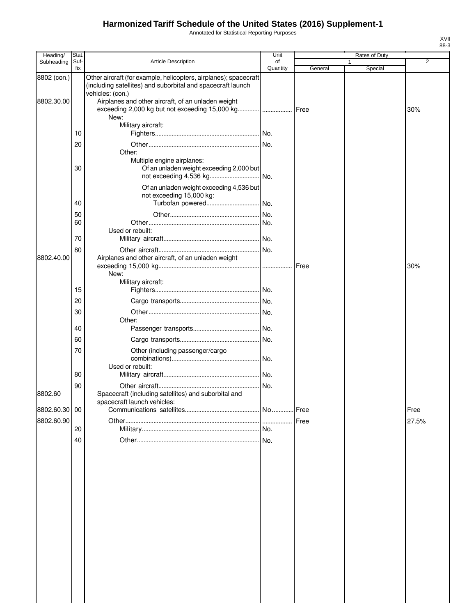# **Harmonized Tariff Schedule of the United States (2016) Supplement-1**

Annotated for Statistical Reporting Purposes

| Heading/      | Stat.       |                                                                                                                                                     | Unit           |         | Rates of Duty |                |
|---------------|-------------|-----------------------------------------------------------------------------------------------------------------------------------------------------|----------------|---------|---------------|----------------|
| Subheading    | Suf-<br>fix | <b>Article Description</b>                                                                                                                          | of<br>Quantity | General | Special       | $\overline{2}$ |
| 8802 (con.)   |             | Other aircraft (for example, helicopters, airplanes); spacecraft<br>(including satellites) and suborbital and spacecraft launch<br>vehicles: (con.) |                |         |               |                |
| 8802.30.00    |             | Airplanes and other aircraft, of an unladen weight<br>New:                                                                                          |                | Free    |               | 30%            |
|               |             | Military aircraft:                                                                                                                                  |                |         |               |                |
|               | 10          |                                                                                                                                                     |                |         |               |                |
|               | 20          | Other:                                                                                                                                              |                |         |               |                |
|               | 30          | Multiple engine airplanes:<br>Of an unladen weight exceeding 2,000 but                                                                              |                |         |               |                |
|               |             | Of an unladen weight exceeding 4,536 but<br>not exceeding 15,000 kg:                                                                                |                |         |               |                |
|               | 40          | Turbofan powered                                                                                                                                    | INo.           |         |               |                |
|               | 50          |                                                                                                                                                     | No.            |         |               |                |
|               | 60          | Used or rebuilt:                                                                                                                                    |                |         |               |                |
|               | 70          |                                                                                                                                                     |                |         |               |                |
|               | 80          |                                                                                                                                                     |                |         |               |                |
| 8802.40.00    |             | Airplanes and other aircraft, of an unladen weight<br>New:                                                                                          |                | Free    |               | 30%            |
|               | 15          | Military aircraft:                                                                                                                                  |                |         |               |                |
|               | 20          |                                                                                                                                                     |                |         |               |                |
|               | 30          |                                                                                                                                                     | No.            |         |               |                |
|               |             | Other:                                                                                                                                              |                |         |               |                |
|               | 40          |                                                                                                                                                     |                |         |               |                |
|               | 60          |                                                                                                                                                     |                |         |               |                |
|               | 70          | Other (including passenger/cargo<br>Used or rebuilt:                                                                                                |                |         |               |                |
|               | 80          |                                                                                                                                                     |                |         |               |                |
| 8802.60       | 90          | Spacecraft (including satellites) and suborbital and<br>spacecraft launch vehicles:                                                                 | No.            |         |               |                |
| 8802.60.30 00 |             |                                                                                                                                                     |                |         |               | Free           |
| 8802.60.90    |             |                                                                                                                                                     |                |         |               | 27.5%          |
|               | 20          |                                                                                                                                                     | No.            |         |               |                |
|               | 40          |                                                                                                                                                     |                |         |               |                |
|               |             |                                                                                                                                                     |                |         |               |                |

XVII 88-3